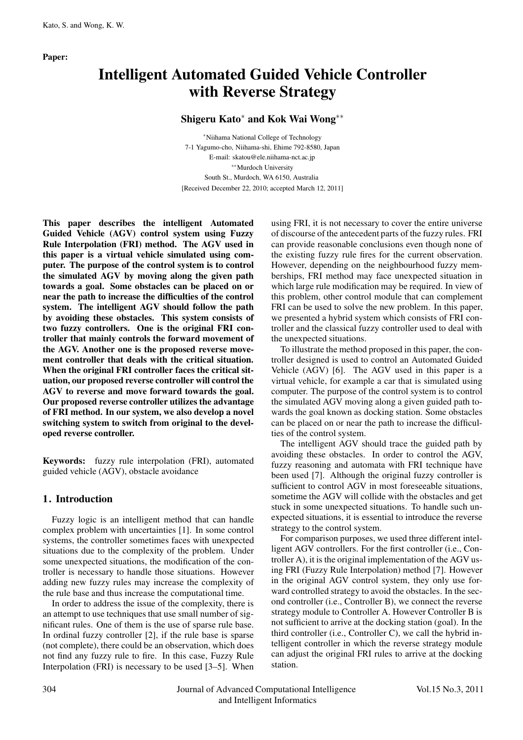Paper:

# Intelligent Automated Guided Vehicle Controller with Reverse Strategy

## Shigeru Kato∗ and Kok Wai Wong∗∗

∗Niihama National College of Technology 7-1 Yagumo-cho, Niihama-shi, Ehime 792-8580, Japan E-mail: skatou@ele.niihama-nct.ac.jp ∗∗Murdoch University South St., Murdoch, WA 6150, Australia [Received December 22, 2010; accepted March 12, 2011]

This paper describes the intelligent Automated Guided Vehicle (AGV) control system using Fuzzy Rule Interpolation (FRI) method. The AGV used in this paper is a virtual vehicle simulated using computer. The purpose of the control system is to control the simulated AGV by moving along the given path towards a goal. Some obstacles can be placed on or near the path to increase the difficulties of the control system. The intelligent AGV should follow the path by avoiding these obstacles. This system consists of two fuzzy controllers. One is the original FRI controller that mainly controls the forward movement of the AGV. Another one is the proposed reverse movement controller that deals with the critical situation. When the original FRI controller faces the critical situation, our proposed reverse controller will control the AGV to reverse and move forward towards the goal. Our proposed reverse controller utilizes the advantage of FRI method. In our system, we also develop a novel switching system to switch from original to the developed reverse controller.

Keywords: fuzzy rule interpolation (FRI), automated guided vehicle (AGV), obstacle avoidance

## 1. Introduction

Fuzzy logic is an intelligent method that can handle complex problem with uncertainties [1]. In some control systems, the controller sometimes faces with unexpected situations due to the complexity of the problem. Under some unexpected situations, the modification of the controller is necessary to handle those situations. However adding new fuzzy rules may increase the complexity of the rule base and thus increase the computational time.

In order to address the issue of the complexity, there is an attempt to use techniques that use small number of significant rules. One of them is the use of sparse rule base. In ordinal fuzzy controller [2], if the rule base is sparse (not complete), there could be an observation, which does not find any fuzzy rule to fire. In this case, Fuzzy Rule Interpolation (FRI) is necessary to be used [3–5]. When using FRI, it is not necessary to cover the entire universe of discourse of the antecedent parts of the fuzzy rules. FRI can provide reasonable conclusions even though none of the existing fuzzy rule fires for the current observation. However, depending on the neighbourhood fuzzy memberships, FRI method may face unexpected situation in which large rule modification may be required. In view of this problem, other control module that can complement FRI can be used to solve the new problem. In this paper, we presented a hybrid system which consists of FRI controller and the classical fuzzy controller used to deal with the unexpected situations.

To illustrate the method proposed in this paper, the controller designed is used to control an Automated Guided Vehicle (AGV) [6]. The AGV used in this paper is a virtual vehicle, for example a car that is simulated using computer. The purpose of the control system is to control the simulated AGV moving along a given guided path towards the goal known as docking station. Some obstacles can be placed on or near the path to increase the difficulties of the control system.

The intelligent AGV should trace the guided path by avoiding these obstacles. In order to control the AGV, fuzzy reasoning and automata with FRI technique have been used [7]. Although the original fuzzy controller is sufficient to control AGV in most foreseeable situations, sometime the AGV will collide with the obstacles and get stuck in some unexpected situations. To handle such unexpected situations, it is essential to introduce the reverse strategy to the control system.

For comparison purposes, we used three different intelligent AGV controllers. For the first controller (i.e., Controller A), it is the original implementation of the AGV using FRI (Fuzzy Rule Interpolation) method [7]. However in the original AGV control system, they only use forward controlled strategy to avoid the obstacles. In the second controller (i.e., Controller B), we connect the reverse strategy module to Controller A. However Controller B is not sufficient to arrive at the docking station (goal). In the third controller (i.e., Controller C), we call the hybrid intelligent controller in which the reverse strategy module can adjust the original FRI rules to arrive at the docking station.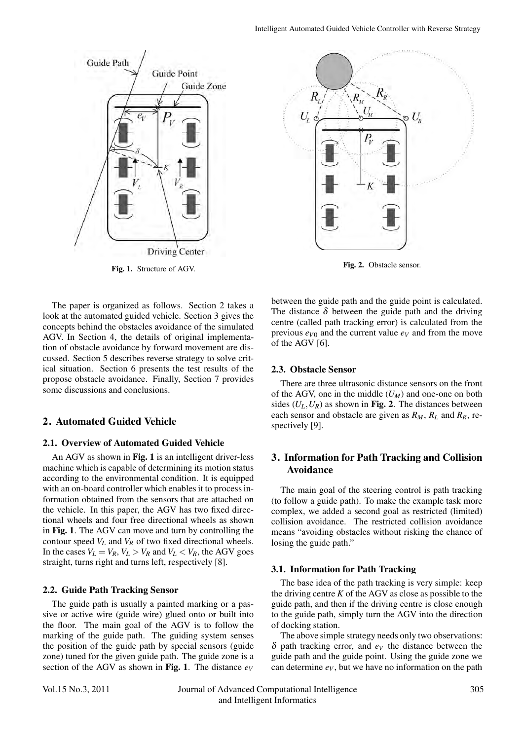

Fig. 1. Structure of AGV.

The paper is organized as follows. Section 2 takes a look at the automated guided vehicle. Section 3 gives the concepts behind the obstacles avoidance of the simulated AGV. In Section 4, the details of original implementation of obstacle avoidance by forward movement are discussed. Section 5 describes reverse strategy to solve critical situation. Section 6 presents the test results of the propose obstacle avoidance. Finally, Section 7 provides some discussions and conclusions.

## 2. Automated Guided Vehicle

#### 2.1. Overview of Automated Guided Vehicle

An AGV as shown in Fig. 1 is an intelligent driver-less machine which is capable of determining its motion status according to the environmental condition. It is equipped with an on-board controller which enables it to process information obtained from the sensors that are attached on the vehicle. In this paper, the AGV has two fixed directional wheels and four free directional wheels as shown in Fig. 1. The AGV can move and turn by controlling the contour speed  $V_L$  and  $V_R$  of two fixed directional wheels. In the cases  $V_L = V_R$ ,  $V_L > V_R$  and  $V_L < V_R$ , the AGV goes straight, turns right and turns left, respectively [8].

#### 2.2. Guide Path Tracking Sensor

The guide path is usually a painted marking or a passive or active wire (guide wire) glued onto or built into the floor. The main goal of the AGV is to follow the marking of the guide path. The guiding system senses the position of the guide path by special sensors (guide zone) tuned for the given guide path. The guide zone is a section of the AGV as shown in Fig. 1. The distance  $e_V$ 



Fig. 2. Obstacle sensor.

between the guide path and the guide point is calculated. The distance  $\delta$  between the guide path and the driving centre (called path tracking error) is calculated from the previous  $e_{V0}$  and the current value  $e_V$  and from the move of the AGV [6].

#### 2.3. Obstacle Sensor

There are three ultrasonic distance sensors on the front of the AGV, one in the middle  $(U_M)$  and one-one on both sides  $(U_L, U_R)$  as shown in Fig. 2. The distances between each sensor and obstacle are given as *RM*, *RL* and *RR*, respectively [9].

## 3. Information for Path Tracking and Collision Avoidance

The main goal of the steering control is path tracking (to follow a guide path). To make the example task more complex, we added a second goal as restricted (limited) collision avoidance. The restricted collision avoidance means "avoiding obstacles without risking the chance of losing the guide path."

## 3.1. Information for Path Tracking

The base idea of the path tracking is very simple: keep the driving centre  $K$  of the AGV as close as possible to the guide path, and then if the driving centre is close enough to the guide path, simply turn the AGV into the direction of docking station.

The above simple strategy needs only two observations:  $\delta$  path tracking error, and  $e_V$  the distance between the guide path and the guide point. Using the guide zone we can determine  $e_V$ , but we have no information on the path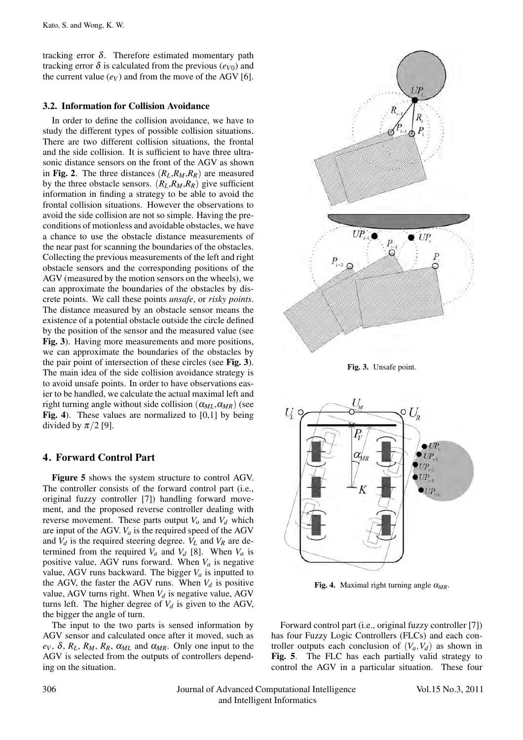tracking error  $\delta$ . Therefore estimated momentary path tracking error  $\delta$  is calculated from the previous ( $e_{V0}$ ) and the current value  $(e_V)$  and from the move of the AGV [6].

### 3.2. Information for Collision Avoidance

In order to define the collision avoidance, we have to study the different types of possible collision situations. There are two different collision situations, the frontal and the side collision. It is sufficient to have three ultrasonic distance sensors on the front of the AGV as shown in Fig. 2. The three distances  $(R_L, R_M, R_R)$  are measured by the three obstacle sensors.  $(R_L, R_M, R_R)$  give sufficient information in finding a strategy to be able to avoid the frontal collision situations. However the observations to avoid the side collision are not so simple. Having the preconditions of motionless and avoidable obstacles, we have a chance to use the obstacle distance measurements of the near past for scanning the boundaries of the obstacles. Collecting the previous measurements of the left and right obstacle sensors and the corresponding positions of the AGV (measured by the motion sensors on the wheels), we can approximate the boundaries of the obstacles by discrete points. We call these points *unsafe*, or *risky points*. The distance measured by an obstacle sensor means the existence of a potential obstacle outside the circle defined by the position of the sensor and the measured value (see Fig. 3). Having more measurements and more positions, we can approximate the boundaries of the obstacles by the pair point of intersection of these circles (see Fig. 3). The main idea of the side collision avoidance strategy is to avoid unsafe points. In order to have observations easier to be handled, we calculate the actual maximal left and right turning angle without side collision  $(\alpha_{ML}, \alpha_{MR})$  (see Fig. 4). These values are normalized to  $[0,1]$  by being divided by  $\pi/2$  [9].

## 4. Forward Control Part

Figure 5 shows the system structure to control AGV. The controller consists of the forward control part (i.e., original fuzzy controller [7]) handling forward movement, and the proposed reverse controller dealing with reverse movement. These parts output  $V_a$  and  $V_d$  which are input of the AGV.  $V_a$  is the required speed of the AGV and  $V_d$  is the required steering degree.  $V_L$  and  $V_R$  are determined from the required  $V_a$  and  $V_d$  [8]. When  $V_a$  is positive value, AGV runs forward. When  $V_a$  is negative value, AGV runs backward. The bigger  $V_a$  is inputted to the AGV, the faster the AGV runs. When  $V_d$  is positive value, AGV turns right. When  $V_d$  is negative value, AGV turns left. The higher degree of  $V_d$  is given to the AGV, the bigger the angle of turn.

The input to the two parts is sensed information by AGV sensor and calculated once after it moved, such as  $e_V$ ,  $\delta$ ,  $R_L$ ,  $R_M$ ,  $R_R$ ,  $\alpha_{ML}$  and  $\alpha_{MR}$ . Only one input to the AGV is selected from the outputs of controllers depending on the situation.



Fig. 3. Unsafe point.



Fig. 4. Maximal right turning angle  $\alpha_{MR}$ .

Forward control part (i.e., original fuzzy controller [7]) has four Fuzzy Logic Controllers (FLCs) and each controller outputs each conclusion of  $(V_a, V_d)$  as shown in Fig. 5. The FLC has each partially valid strategy to control the AGV in a particular situation. These four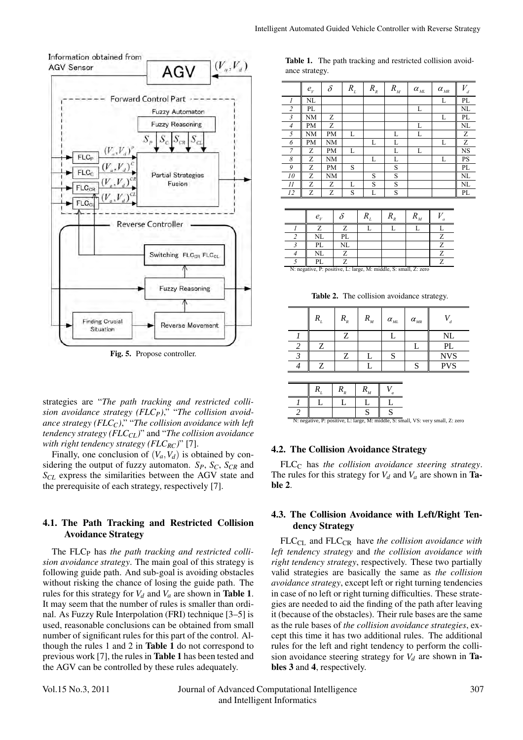



Fig. 5. Propose controller.

strategies are "*The path tracking and restricted collision avoidance strategy (FLCP)*," "*The collision avoidance strategy (FLC<sub>C</sub>)*," "*The collision avoidance with left tendency strategy (FLC<sub>CL</sub>)*" and "*The collision avoidance with right tendency strategy (FLCRC)*" [7].

Finally, one conclusion of  $(V_a, V_d)$  is obtained by considering the output of fuzzy automaton.  $S_P$ ,  $S_C$ ,  $S_{CR}$  and *SCL* express the similarities between the AGV state and the prerequisite of each strategy, respectively [7].

## 4.1. The Path Tracking and Restricted Collision Avoidance Strategy

The FLC<sub>P</sub> has *the path tracking and restricted collision avoidance strategy*. The main goal of this strategy is following guide path. And sub-goal is avoiding obstacles without risking the chance of losing the guide path. The rules for this strategy for  $V_d$  and  $V_a$  are shown in **Table 1**. It may seem that the number of rules is smaller than ordinal. As Fuzzy Rule Interpolation (FRI) technique [3–5] is used, reasonable conclusions can be obtained from small number of significant rules for this part of the control. Although the rules 1 and 2 in Table 1 do not correspond to previous work [7], the rules in Table 1 has been tested and the AGV can be controlled by these rules adequately.

Table 1. The path tracking and restricted collision avoidance strategy.

|    | $e_{v}$ | $\delta$ | $R_{\rm L}$ | $R_{_R}$ | $R_{\scriptscriptstyle M}$ | $\alpha_{{\hbox{\tiny{ML}}}}$ | $\alpha_{\rm\scriptscriptstyle MR}$ | V<br>d    |
|----|---------|----------|-------------|----------|----------------------------|-------------------------------|-------------------------------------|-----------|
| 1  | NL      |          |             |          |                            |                               | L                                   | PL        |
| 2  | PL      |          |             |          |                            | L                             |                                     | NL        |
| 3  | NΜ      | Ζ        |             |          |                            |                               | L                                   | PL        |
| 4  | PМ      | Ζ        |             |          |                            | L                             |                                     | NL        |
| 5  | NΜ      | PM       | L           |          | L                          | L                             |                                     | Ζ         |
| 6  | PМ      | NΜ       |             | L        | L                          |                               | L                                   | Ζ         |
| 7  | Ζ       | PM       | L           |          | L                          | L                             |                                     | NS        |
| 8  | Ζ       | NM       |             | L        | L                          |                               | L                                   | <b>PS</b> |
| 9  | Ζ       | PM       | S           |          | S                          |                               |                                     | PL        |
| 10 | Ζ       | NM       |             | S        | S                          |                               |                                     | NL        |
| 11 | Ζ       | Ζ        | L           | S        | S                          |                               |                                     | NL        |
| 12 | Z       | Z        | S           | L        | S                          |                               |                                     | PL        |

| $e_{\nu}$                                                        |    |  |  |
|------------------------------------------------------------------|----|--|--|
|                                                                  |    |  |  |
| NL                                                               | PL |  |  |
| PL                                                               | NL |  |  |
| NL                                                               |    |  |  |
| PL.                                                              |    |  |  |
| N: negative, P: positive, L: large, M: middle, S: small, Z: zero |    |  |  |

Table 2. The collision avoidance strategy.

|  | $R_{_R}$ | $R_{_M}$ | $\alpha_{\rm_{ML}}$ | $\alpha_{_{MR}}$ |            |
|--|----------|----------|---------------------|------------------|------------|
|  |          |          |                     |                  | <b>NL</b>  |
|  |          |          |                     |                  | PL         |
|  |          |          |                     |                  | <b>NVS</b> |
|  |          |          |                     |                  | <b>PVS</b> |



#### 4.2. The Collision Avoidance Strategy

FLC<sub>C</sub> has *the collision avoidance steering strategy*. The rules for this strategy for  $V_d$  and  $V_a$  are shown in **Ta**ble 2.

### 4.3. The Collision Avoidance with Left/Right Tendency Strategy

FLC<sub>CL</sub> and FLC<sub>CR</sub> have *the collision avoidance with left tendency strategy* and *the collision avoidance with right tendency strategy*, respectively. These two partially valid strategies are basically the same as *the collision avoidance strategy*, except left or right turning tendencies in case of no left or right turning difficulties. These strategies are needed to aid the finding of the path after leaving it (because of the obstacles). Their rule bases are the same as the rule bases of *the collision avoidance strategies*, except this time it has two additional rules. The additional rules for the left and right tendency to perform the collision avoidance steering strategy for  $V_d$  are shown in **Ta**bles 3 and 4, respectively.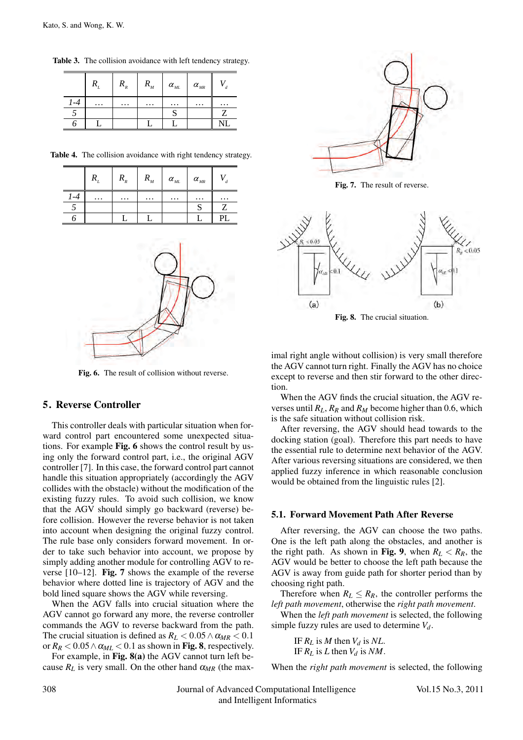|      |         | $R_{R}$  | $R_{_M}$ | $\alpha_{\rm\scriptscriptstyle ML}$ | $\alpha_{_{MR}}$ |  |
|------|---------|----------|----------|-------------------------------------|------------------|--|
| $-4$ | $\cdot$ | $\cdots$ | $\cdots$ | $\cdots$                            | $\cdots$         |  |
|      |         |          |          | N                                   |                  |  |
|      |         |          |          |                                     |                  |  |

Table 3. The collision avoidance with left tendency strategy.

|  | Table 4. The collision avoidance with right tendency strategy. |  |  |  |  |  |
|--|----------------------------------------------------------------|--|--|--|--|--|
|--|----------------------------------------------------------------|--|--|--|--|--|

|          | $\mathbf{u}_R$ | $\mathbf{L}_{M}$ | $\alpha_{\rm\scriptscriptstyle ML}$ | $\alpha_{_{\it MR}}$ | a        |
|----------|----------------|------------------|-------------------------------------|----------------------|----------|
| $\cdots$ | $\cdots$       | $\cdots$         | $\cdots$                            | $\cdots$             | $\cdots$ |
|          |                |                  |                                     |                      |          |
|          |                |                  |                                     |                      |          |



Fig. 6. The result of collision without reverse.

#### 5. Reverse Controller

This controller deals with particular situation when forward control part encountered some unexpected situations. For example Fig. 6 shows the control result by using only the forward control part, i.e., the original AGV controller [7]. In this case, the forward control part cannot handle this situation appropriately (accordingly the AGV collides with the obstacle) without the modification of the existing fuzzy rules. To avoid such collision, we know that the AGV should simply go backward (reverse) before collision. However the reverse behavior is not taken into account when designing the original fuzzy control. The rule base only considers forward movement. In order to take such behavior into account, we propose by simply adding another module for controlling AGV to reverse  $[10-12]$ . Fig. 7 shows the example of the reverse behavior where dotted line is trajectory of AGV and the bold lined square shows the AGV while reversing.

When the AGV falls into crucial situation where the AGV cannot go forward any more, the reverse controller commands the AGV to reverse backward from the path. The crucial situation is defined as  $R_L < 0.05 \land \alpha_{MR} < 0.1$ or  $R_R < 0.05 \land \alpha_{ML} < 0.1$  as shown in Fig. 8, respectively.

For example, in Fig. 8(a) the AGV cannot turn left because  $R_L$  is very small. On the other hand  $\alpha_{MR}$  (the max-



Fig. 7. The result of reverse.



Fig. 8. The crucial situation.

imal right angle without collision) is very small therefore the AGV cannot turn right. Finally the AGV has no choice except to reverse and then stir forward to the other direction.

When the AGV finds the crucial situation, the AGV reverses until  $R_L$ ,  $R_R$  and  $R_M$  become higher than 0.6, which is the safe situation without collision risk.

After reversing, the AGV should head towards to the docking station (goal). Therefore this part needs to have the essential rule to determine next behavior of the AGV. After various reversing situations are considered, we then applied fuzzy inference in which reasonable conclusion would be obtained from the linguistic rules [2].

#### 5.1. Forward Movement Path After Reverse

After reversing, the AGV can choose the two paths. One is the left path along the obstacles, and another is the right path. As shown in Fig. 9, when  $R_L < R_R$ , the AGV would be better to choose the left path because the AGV is away from guide path for shorter period than by choosing right path.

Therefore when  $R_L \leq R_R$ , the controller performs the *left path movement*, otherwise the *right path movement*.

When the *left path movement* is selected, the following simple fuzzy rules are used to determine *Vd*.

> IF  $R_L$  is  $M$  then  $V_d$  is  $NL$ . IF  $R_L$  is  $L$  then  $V_d$  is  $NM$ .

When the *right path movement* is selected, the following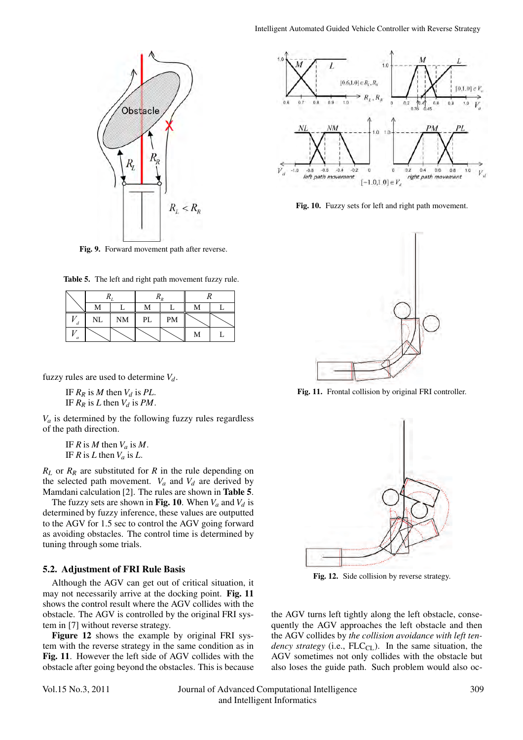

Fig. 9. Forward movement path after reverse.

|  |  |  | Table 5. The left and right path movement fuzzy rule. |  |
|--|--|--|-------------------------------------------------------|--|
|--|--|--|-------------------------------------------------------|--|

|   |    |           | 1 \ n |    |   |  |  |
|---|----|-----------|-------|----|---|--|--|
|   | М  |           | М     |    | М |  |  |
| d | NL | <b>NM</b> | PL    | PM |   |  |  |
| a |    |           |       |    | М |  |  |

fuzzy rules are used to determine  $V_d$ .

IF  $R_R$  is  $M$  then  $V_d$  is  $PL$ . IF  $R_R$  is  $L$  then  $V_d$  is  $PM$ .

 $V_a$  is determined by the following fuzzy rules regardless of the path direction.

> IF  $R$  is  $M$  then  $V_a$  is  $M$ . IF *R* is *L* then  $V_a$  is *L*.

*RL* or *RR* are substituted for *R* in the rule depending on the selected path movement.  $V_a$  and  $V_d$  are derived by Mamdani calculation [2]. The rules are shown in Table 5.

The fuzzy sets are shown in Fig. 10. When  $V_a$  and  $V_d$  is determined by fuzzy inference, these values are outputted to the AGV for 1.5 sec to control the AGV going forward as avoiding obstacles. The control time is determined by tuning through some trials.

#### 5.2. Adjustment of FRI Rule Basis

Although the AGV can get out of critical situation, it may not necessarily arrive at the docking point. Fig. 11 shows the control result where the AGV collides with the obstacle. The AGV is controlled by the original FRI system in [7] without reverse strategy.

Figure 12 shows the example by original FRI system with the reverse strategy in the same condition as in Fig. 11. However the left side of AGV collides with the obstacle after going beyond the obstacles. This is because



Fig. 10. Fuzzy sets for left and right path movement.



Fig. 11. Frontal collision by original FRI controller.



Fig. 12. Side collision by reverse strategy.

the AGV turns left tightly along the left obstacle, consequently the AGV approaches the left obstacle and then the AGV collides by *the collision avoidance with left tendency strategy* (i.e.,  $FLC<sub>CL</sub>$ ). In the same situation, the AGV sometimes not only collides with the obstacle but also loses the guide path. Such problem would also oc-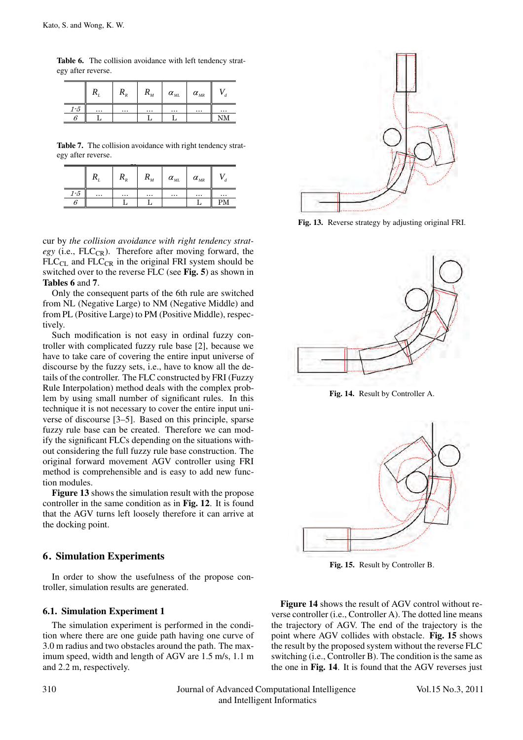|                    | Table 6. The collision avoidance with left tendency strat- |  |  |  |
|--------------------|------------------------------------------------------------|--|--|--|
| egy after reverse. |                                                            |  |  |  |

|       | ı        | $\cdots$ <sub>R</sub> | מ<br>$\mathbf{A}_{M}$ | $\alpha_{\rm_{ML}}$ | $\alpha_{_{\it MR}}$ |          |
|-------|----------|-----------------------|-----------------------|---------------------|----------------------|----------|
| $1-5$ | $\cdots$ | $\cdots$              | $\cdots$              | $\cdots$            | $\cdots$             | $\cdots$ |
|       |          |                       |                       |                     |                      |          |

Table 7. The collision avoidance with right tendency strategy after reverse.

|       |          | $\mathbf{u}_R$ | $\mathbf{v}_{M}$ | $\alpha_{_{ML}}$ | $\alpha_{_{MR}}$ |          |
|-------|----------|----------------|------------------|------------------|------------------|----------|
| $1-5$ | $\cdots$ | $\cdots$       | $\cdots$         | $\cdots$         | $\cdots$         | $\cdots$ |
|       |          |                |                  |                  |                  |          |

cur by *the collision avoidance with right tendency strategy* (i.e., FLC<sub>CR</sub>). Therefore after moving forward, the  $FLC_{CL}$  and  $FLC_{CR}$  in the original FRI system should be switched over to the reverse FLC (see Fig. 5) as shown in Tables 6 and 7.

Only the consequent parts of the 6th rule are switched from NL (Negative Large) to NM (Negative Middle) and from PL (Positive Large) to PM (Positive Middle), respectively.

Such modification is not easy in ordinal fuzzy controller with complicated fuzzy rule base [2], because we have to take care of covering the entire input universe of discourse by the fuzzy sets, i.e., have to know all the details of the controller. The FLC constructed by FRI (Fuzzy Rule Interpolation) method deals with the complex problem by using small number of significant rules. In this technique it is not necessary to cover the entire input universe of discourse [3–5]. Based on this principle, sparse fuzzy rule base can be created. Therefore we can modify the significant FLCs depending on the situations without considering the full fuzzy rule base construction. The original forward movement AGV controller using FRI method is comprehensible and is easy to add new function modules.

Figure 13 shows the simulation result with the propose controller in the same condition as in Fig. 12. It is found that the AGV turns left loosely therefore it can arrive at the docking point.

## 6. Simulation Experiments

In order to show the usefulness of the propose controller, simulation results are generated.

## 6.1. Simulation Experiment 1

The simulation experiment is performed in the condition where there are one guide path having one curve of 3.0 m radius and two obstacles around the path. The maximum speed, width and length of AGV are 1.5 m/s, 1.1 m and 2.2 m, respectively.



Fig. 13. Reverse strategy by adjusting original FRI.



Fig. 14. Result by Controller A.



Fig. 15. Result by Controller B.

Figure 14 shows the result of AGV control without reverse controller (i.e., Controller A). The dotted line means the trajectory of AGV. The end of the trajectory is the point where AGV collides with obstacle. Fig. 15 shows the result by the proposed system without the reverse FLC switching (i.e., Controller B). The condition is the same as the one in Fig. 14. It is found that the AGV reverses just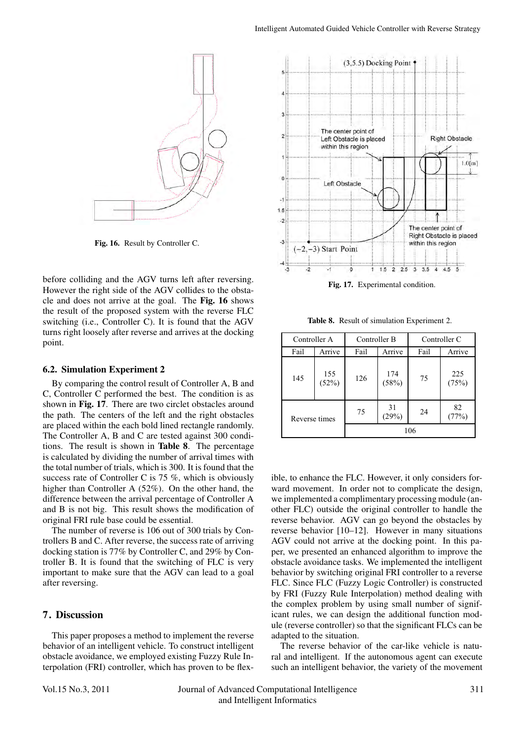

Fig. 16. Result by Controller C.

before colliding and the AGV turns left after reversing. However the right side of the AGV collides to the obstacle and does not arrive at the goal. The Fig. 16 shows the result of the proposed system with the reverse FLC switching (i.e., Controller C). It is found that the AGV turns right loosely after reverse and arrives at the docking point.

#### 6.2. Simulation Experiment 2

By comparing the control result of Controller A, B and C, Controller C performed the best. The condition is as shown in Fig. 17. There are two circlet obstacles around the path. The centers of the left and the right obstacles are placed within the each bold lined rectangle randomly. The Controller A, B and C are tested against 300 conditions. The result is shown in Table 8. The percentage is calculated by dividing the number of arrival times with the total number of trials, which is 300. It is found that the success rate of Controller C is 75 %, which is obviously higher than Controller A (52%). On the other hand, the difference between the arrival percentage of Controller A and B is not big. This result shows the modification of original FRI rule base could be essential.

The number of reverse is 106 out of 300 trials by Controllers B and C. After reverse, the success rate of arriving docking station is 77% by Controller C, and 29% by Controller B. It is found that the switching of FLC is very important to make sure that the AGV can lead to a goal after reversing.

## 7. Discussion

This paper proposes a method to implement the reverse behavior of an intelligent vehicle. To construct intelligent obstacle avoidance, we employed existing Fuzzy Rule Interpolation (FRI) controller, which has proven to be flex-



Fig. 17. Experimental condition.

Table 8. Result of simulation Experiment 2.

| Controller A  |              | Controller B   |              | Controller C |              |  |
|---------------|--------------|----------------|--------------|--------------|--------------|--|
| Fail          | Arrive       | Arrive<br>Fail |              | Fail         | Arrive       |  |
| 145           | 155<br>(52%) | 126            | 174<br>(58%) | 75           | 225<br>(75%) |  |
| Reverse times |              | 75             | 31<br>(29%)  | 24           | 82<br>(77%)  |  |
|               |              |                |              | 106          |              |  |

ible, to enhance the FLC. However, it only considers forward movement. In order not to complicate the design, we implemented a complimentary processing module (another FLC) outside the original controller to handle the reverse behavior. AGV can go beyond the obstacles by reverse behavior [10–12]. However in many situations AGV could not arrive at the docking point. In this paper, we presented an enhanced algorithm to improve the obstacle avoidance tasks. We implemented the intelligent behavior by switching original FRI controller to a reverse FLC. Since FLC (Fuzzy Logic Controller) is constructed by FRI (Fuzzy Rule Interpolation) method dealing with the complex problem by using small number of significant rules, we can design the additional function module (reverse controller) so that the significant FLCs can be adapted to the situation.

The reverse behavior of the car-like vehicle is natural and intelligent. If the autonomous agent can execute such an intelligent behavior, the variety of the movement